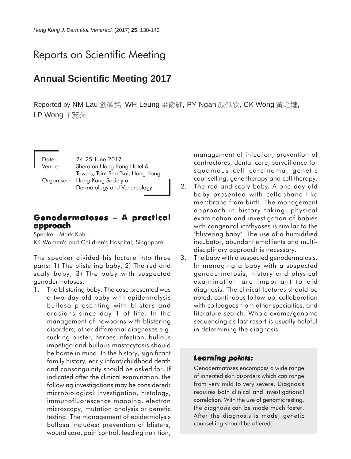# Reports on Scientific Meeting

## **Annual Scientific Meeting 2017**

Reported by NM Lau 劉顏銘, WH Leung 梁衞紅, PY Ngan 顏佩欣, CK Wong 黃之鍵, LP Wong 干麗萍

| Date:  | 24-25 June 2017                  |
|--------|----------------------------------|
| Venue: | Sheraton Hong Kong Hotel &       |
|        | Towers, Tsim Sha Tsui, Hong Kong |
|        | Organiser: Hong Kong Society of  |
|        | Dermatology and Venereology      |

### **Genodermatoses − A practical approach**

Speaker: Mark Koh KK Women's and Children's Hospital, Singapore

The speaker divided his lecture into three parts: 1) The blistering baby, 2) The red and scaly baby, 3) The baby with suspected genodermatoses.

1. The blistering baby. The case presented was a two-day-old baby with epidermolysis bullosa presenting with blisters and erosions since day 1 of life. In the management of newborns with blistering disorders, other differential diagnoses e.g. sucking blister, herpes infection, bullous impetigo and bullous mastocytosis should be borne in mind. In the history, significant family history, early infant/childhood death and consanguinity should be asked for. If indicated after the clinical examination, the following investigations may be considered: microbiological investigation, histology, immunofluorescence mapping, electron microscopy, mutation analysis or genetic testing. The management of epidermolysis bullosa includes: prevention of blisters, wound care, pain control, feeding nutrition,

management of infection, prevention of contractures, dental care, surveillance for squamous cell carcinoma, genetic counselling, gene therapy and cell therapy.

- 2. The red and scaly baby. A one-day-old baby presented with cellophane-like membrane from birth. The management approach in history taking, physical examination and investigation of babies with congenital ichthyoses is similar to the "blistering baby". The use of a humidified incubator, abundant emollients and multidisciplinary approach is necessary.
- 3. The baby with a suspected genodermatosis. In managing a baby with a suspected genodermatosis, history and physical examination are important to aid diagnosis. The clinical features should be noted, continuous follow-up, collaboration with colleagues from other specialties, and literature search. Whole exome/genome sequencing as last resort is usually helpful in determining the diagnosis.

### *Learning points: Learning*

Genodermatoses encompass a wide range of inherited skin disorders which can range from very mild to very severe. Diagnosis requires both clinical and investigational correlation. With the use of genomic testing, the diagnosis can be made much faster. After the diagnosis is made, genetic counselling should be offered.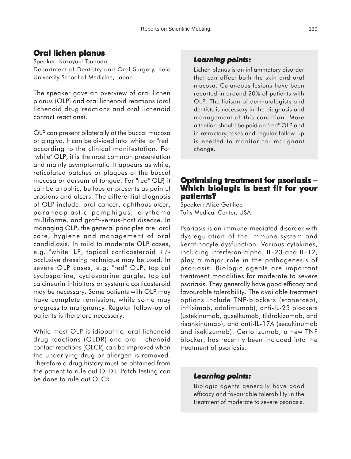### **Oral lichen planus**

Speaker: Kazuyuki Tsunoda Department of Dentistry and Oral Surgery, Keio University School of Medicine, Japan

The speaker gave an overview of oral lichen planus (OLP) and oral lichenoid reactions (oral lichenoid drug reactions and oral lichenoid contact reactions).

OLP can present bilaterally at the buccal mucosa or gingiva. It can be divided into "white" or "red" according to the clinical manifestation. For "white" OLP, it is the most common presentation and mainly asymptomatic. It appears as white, reticulated patches or plaques at the buccal mucosa or dorsum of tongue. For "red" OLP, it can be atrophic, bullous or presents as painful erosions and ulcers. The differential diagnosis of OLP include: oral cancer, aphthous ulcer, paraneoplastic pemphigus, erythema multiforme, and graft-versus-host disease. In managing OLP, the general principles are: oral care, hygiene and management of oral candidiasis. In mild to moderate OLP cases, e.g. "white" LP, topical corticosteroid  $+/$ occlusive dressing technique may be used. In severe OLP cases, e.g. "red" OLP, topical cyclosporine, cyclosporine gargle, topical calcineurin inhibitors or systemic corticosteroid may be necessary. Some patients with OLP may have complete remission, while some may progress to malignancy. Regular follow-up of patients is therefore necessary.

While most OLP is idiopathic, oral lichenoid drug reactions (OLDR) and oral lichenoid contact reactions (OLCR) can be improved when the underlying drug or allergen is removed. Therefore a drug history must be obtained from the patient to rule out OLDR. Patch testing can be done to rule out OLCR.

### *Learning points: Learning points:*

Lichen planus is an inflammatory disorder that can affect both the skin and oral mucosa. Cutaneous lesions have been reported in around 20% of patients with OLP. The liaison of dermatologists and dentists is necessary in the diagnosis and management of this condition. More attention should be paid on "red" OLP and in refractory cases and regular follow-up is needed to monitor for malignant change.

### **Optimising treatment for psoriasis − Which biologic is best fit for your patients?**

Speaker: Alice Gottlieb Tufts Medical Center, USA

Psoriasis is an immune-mediated disorder with dysregulation of the immune system and keratinocyte dysfunction. Various cytokines, including interferon-alpha, IL-23 and IL-12, play a major role in the pathogenesis of psoriasis. Biologic agents are important treatment modalities for moderate to severe psoriasis. They generally have good efficacy and favourable tolerability. The available treatment options include TNF-blockers (etanercept, infliximab, adalimumab), anti-IL-23 blockers (ustekinumab, guselkumab, tildrakizumab, and risankinumab), and anti-IL-17A (secukinumab and ixekizumab). Certolizumab, a new TNF blocker, has recently been included into the treatment of psoriasis.

#### *Learning points: Learning points:*

Biologic agents generally have good efficacy and favourable tolerability in the treatment of moderate to severe psoriasis.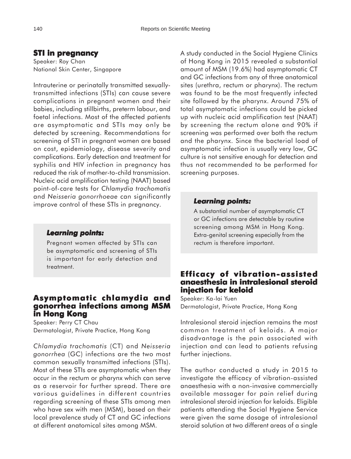### **STI in pregnancy**

Speaker: Roy Chan National Skin Center, Singapore

Intrauterine or perinatally transmitted sexuallytransmitted infections (STIs) can cause severe complications in pregnant women and their babies, including stillbirths, preterm labour, and foetal infections. Most of the affected patients are asymptomatic and STIs may only be detected by screening. Recommendations for screening of STI in pregnant women are based on cost, epidemiology, disease severity and complications. Early detection and treatment for syphilis and HIV infection in pregnancy has reduced the risk of mother-to-child transmission. Nucleic acid amplification testing (NAAT) based point-of-care tests for *Chlamydia trachomatis* and *Neisseria gonorrhoeae* can significantly improve control of these STIs in pregnancy.

#### *Learning points: Learning*

Pregnant women affected by STIs can be asymptomatic and screening of STIs is important for early detection and treatment.

### **Asymptomatic chlamydia and gonorrhea infections among MSM in Hong Kong**

Speaker: Perry CT Chau Dermatologist, Private Practice, Hong Kong

*Chlamydia trachomatis* (CT) and *Neisseria gonorrhea* (GC) infections are the two most common sexually transmitted infections (STIs). Most of these STIs are asymptomatic when they occur in the rectum or pharynx which can serve as a reservoir for further spread. There are various guidelines in different countries regarding screening of these STIs among men who have sex with men (MSM), based on their local prevalence study of CT and GC infections at different anatomical sites among MSM.

A study conducted in the Social Hygiene Clinics of Hong Kong in 2015 revealed a substantial amount of MSM (19.6%) had asymptomatic CT and GC infections from any of three anatomical sites (urethra, rectum or pharynx). The rectum was found to be the most frequently infected site followed by the pharynx. Around 75% of total asymptomatic infections could be picked up with nucleic acid amplification test (NAAT) by screening the rectum alone and 90% if screening was performed over both the rectum and the pharynx. Since the bacterial load of asymptomatic infection is usually very low, GC culture is not sensitive enough for detection and thus not recommended to be performed for screening purposes.

#### *Learning points: Learning points:*

A substantial number of asymptomatic CT or GC infections are detectable by routine screening among MSM in Hong Kong. Extra-genital screening especially from the rectum is therefore important.

### **Efficacy of vibration-assisted anaesthesia in intralesional steroid injection for keloid**

Speaker: Ka-lai Yuen Dermatologist, Private Practice, Hong Kong

Intralesional steroid injection remains the most common treatment of keloids. A major disadvantage is the pain associated with injection and can lead to patients refusing further injections.

The author conducted a study in 2015 to investigate the efficacy of vibration-assisted anaesthesia with a non-invasive commercially available massager for pain relief during intralesional steroid injection for keloids. Eligible patients attending the Social Hygiene Service were given the same dosage of intralesional steroid solution at two different areas of a single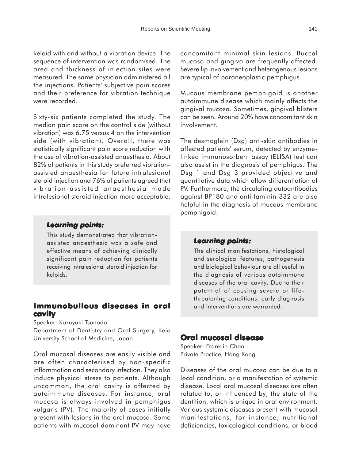keloid with and without a vibration device. The sequence of intervention was randomised. The area and thickness of injection sites were measured. The same physician administered all the injections. Patients' subjective pain scores and their preference for vibration technique were recorded.

Sixty-six patients completed the study. The median pain score on the control side (without vibration) was 6.75 versus 4 on the intervention side (with vibration). Overall, there was statistically significant pain score reduction with the use of vibration-assisted anaesthesia. About 82% of patients in this study preferred vibrationassisted anaesthesia for future intralesional steroid injection and 76% of patients agreed that vibration-assisted anaesthesia made intralesional steroid injection more acceptable.

#### *Learning points: Learning*

This study demonstrated that vibrationassisted anaesthesia was a safe and effective means of achieving clinically significant pain reduction for patients receiving intralesional steroid injection for keloids.

### **Immunobullous diseases in oral Immunobullous diseases in oral cavity**

Speaker: Kazuyuki Tsunoda

Department of Dentistry and Oral Surgery, Keio University School of Medicine, Japan

Oral mucosal diseases are easily visible and are often characterised by non-specific inflammation and secondary infection. They also induce physical stress to patients. Although uncommon, the oral cavity is affected by autoimmune diseases. For instance, oral mucosa is always involved in pemphigus vulgaris (PV). The majority of cases initially present with lesions in the oral mucosa. Some patients with mucosal dominant PV may have

concomitant minimal skin lesions. Buccal mucosa and gingiva are frequently affected. Severe lip involvement and heterogenous lesions are typical of paraneoplastic pemphigus.

Mucous membrane pemphigoid is another autoimmune disease which mainly affects the gingival mucosa. Sometimes, gingival blisters can be seen. Around 20% have concomitant skin involvement.

The desmoglein (Dsg) anti-skin antibodies in affected patients' serum, detected by enzymelinked immunosorbent assay (ELISA) test can also assist in the diagnosis of pemphigus. The Dsg 1 and Dsg 3 provided objective and quantitative data which allow differentiation of PV. Furthermore, the circulating autoantibodies against BP180 and anti-laminin-332 are also helpful in the diagnosis of mucous membrane pemphigoid.

#### *Learning points: Learning points:*

The clinical manifestations, histological and serological features, pathogenesis and biological behaviour are all useful in the diagnosis of various autoimmune diseases of the oral cavity. Due to their potential of causing severe or lifethreatening conditions, early diagnosis and interventions are warranted.

#### **Oral mucosal disease**

Speaker: Franklin Chan Private Practice, Hong Kong

Diseases of the oral mucosa can be due to a local condition, or a manifestation of systemic disease. Local oral mucosal diseases are often related to, or influenced by, the state of the dentition, which is unique in oral environment. Various systemic diseases present with mucosal manifestations, for instance, nutritional deficiencies, toxicological conditions, or blood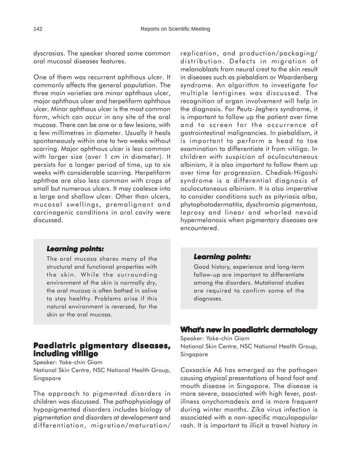dyscrasias. The speaker shared some common oral mucosal diseases features.

One of them was recurrent aphthous ulcer. It commonly affects the general population. The three main varieties are minor aphthous ulcer, major aphthous ulcer and herpetiform aphthous ulcer. Minor aphthous ulcer is the most common form, which can occur in any site of the oral mucosa. There can be one or a few lesions, with a few millimetres in diameter. Usually it heals spontaneously within one to two weeks without scarring. Major aphthous ulcer is less common with larger size (over 1 cm in diameter). It persists for a longer period of time, up to six weeks with considerable scarring. Herpetiform aphthae are also less common with crops of small but numerous ulcers. It may coalesce into a large and shallow ulcer. Other than ulcers, mucosal swellings, premalignant and carcinogenic conditions in oral cavity were discussed.

### replication, and production/packaging/ distribution. Defects in migration of melanoblasts from neural crest to the skin result in diseases such as piebaldism or Waardenberg syndrome. An algorithm to investigate for multiple lentigines was discussed. The recognition of organ involvement will help in the diagnosis. For Peutz-Jeghers syndrome, it is important to follow up the patient over time and to screen for the occurrence of gastrointestinal malignancies. In piebaldism, it is important to perform a head to toe examination to differentiate it from vitiligo. In children with suspicion of oculocutaneous albinism, it is also important to follow them up over time for progression. Chediak-Higashi syndrome is a differential diagnosis of oculocutaneous albinism. It is also imperative to consider conditions such as pityriasis alba, phytophotodermatitis, dyschromia pigmentosa, leprosy and linear and whorled nevoid hypermelanosis when pigmentary diseases are encountered.

### *Learning points: Learning*

The oral mucosa shares many of the structural and functional properties with the skin. While the surrounding environment of the skin is normally dry, the oral mucosa is often bathed in saliva to stay healthy. Problems arise if this natural environment is reversed, for the skin or the oral mucosa.

### **Paediatric pigmentary diseases, including vitiligo**

Speaker: Yoke-chin Giam National Skin Centre, NSC National Health Group, Singapore

The approach to pigmented disorders in children was discussed. The pathophysiology of hypopigmented disorders includes biology of pigmentation and disorders at development and differentiation, migration/maturation/

### *Learning points: Learning points:*

Good history, experience and long-term follow-up are important to differentiate among the disorders. Mutational studies are required to confirm some of the diagnoses.

### **What's new in paediatric dermatology**

Speaker: Yoke-chin Giam National Skin Centre, NSC National Health Group, Singapore

Coxsackie A6 has emerged as the pathogen causing atypical presentations of hand foot and mouth disease in Singapore. The disease is more severe, associated with high fever, postillness onychomadesis and is more frequent during winter months. Zika virus infection is associated with a non-specific maculopapular rash. It is important to illicit a travel history in